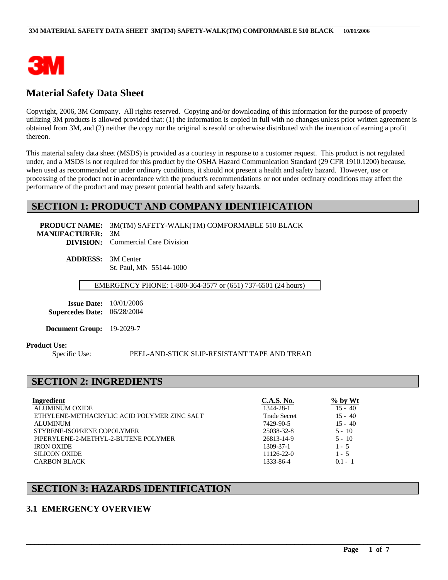

# **Material Safety Data Sheet**

Copyright, 2006, 3M Company. All rights reserved. Copying and/or downloading of this information for the purpose of properly utilizing 3M products is allowed provided that: (1) the information is copied in full with no changes unless prior written agreement is obtained from 3M, and (2) neither the copy nor the original is resold or otherwise distributed with the intention of earning a profit thereon.

This material safety data sheet (MSDS) is provided as a courtesy in response to a customer request. This product is not regulated under, and a MSDS is not required for this product by the OSHA Hazard Communication Standard (29 CFR 1910.1200) because, when used as recommended or under ordinary conditions, it should not present a health and safety hazard. However, use or processing of the product not in accordance with the product's recommendations or not under ordinary conditions may affect the performance of the product and may present potential health and safety hazards.

## **SECTION 1: PRODUCT AND COMPANY IDENTIFICATION**

**PRODUCT NAME:** 3M(TM) SAFETY-WALK(TM) COMFORMABLE 510 BLACK

**MANUFACTURER:** 3M **DIVISION:** Commercial Care Division

> **ADDRESS:** 3M Center St. Paul, MN 55144-1000

> > EMERGENCY PHONE: 1-800-364-3577 or (651) 737-6501 (24 hours)

**Issue Date:** 10/01/2006 **Supercedes Date:** 06/28/2004

**Document Group:** 19-2029-7

#### **Product Use:**

Specific Use: PEEL-AND-STICK SLIP-RESISTANT TAPE AND TREAD

\_\_\_\_\_\_\_\_\_\_\_\_\_\_\_\_\_\_\_\_\_\_\_\_\_\_\_\_\_\_\_\_\_\_\_\_\_\_\_\_\_\_\_\_\_\_\_\_\_\_\_\_\_\_\_\_\_\_\_\_\_\_\_\_\_\_\_\_\_\_\_\_\_\_\_\_\_\_\_\_\_\_\_\_\_\_\_\_\_\_\_\_\_\_\_\_\_

## **SECTION 2: INGREDIENTS**

| Ingredient                                  | C.A.S. No.          | $\%$ by Wt |
|---------------------------------------------|---------------------|------------|
| ALUMINUM OXIDE                              | 1344-28-1           | $15 - 40$  |
| ETHYLENE-METHACRYLIC ACID POLYMER ZINC SALT | <b>Trade Secret</b> | $15 - 40$  |
| <b>ALUMINUM</b>                             | 7429-90-5           | $15 - 40$  |
| STYRENE-ISOPRENE COPOLYMER                  | 25038-32-8          | $5 - 10$   |
| PIPERYLENE-2-METHYL-2-BUTENE POLYMER        | 26813-14-9          | $5 - 10$   |
| <b>IRON OXIDE</b>                           | 1309-37-1           | $1 - 5$    |
| <b>SILICON OXIDE</b>                        | $11126 - 22 - 0$    | $1 - 5$    |
| <b>CARBON BLACK</b>                         | 1333-86-4           | $0.1 - 1$  |

## **SECTION 3: HAZARDS IDENTIFICATION**

### **3.1 EMERGENCY OVERVIEW**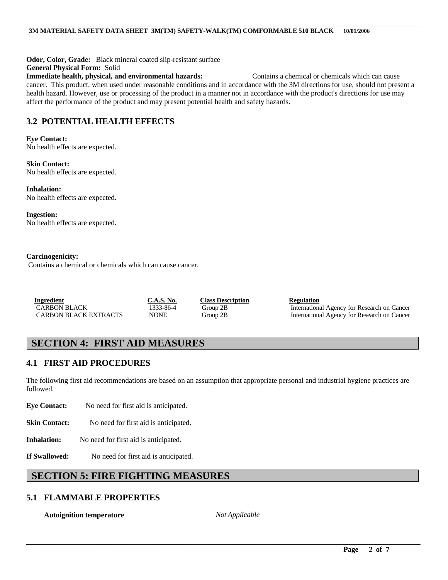**Odor, Color, Grade:** Black mineral coated slip-resistant surface **General Physical Form:** Solid **Immediate health, physical, and environmental hazards:** Contains a chemical or chemicals which can cause cancer. This product, when used under reasonable conditions and in accordance with the 3M directions for use, should not present a health hazard. However, use or processing of the product in a manner not in accordance with the product's directions for use may affect the performance of the product and may present potential health and safety hazards.

# **3.2 POTENTIAL HEALTH EFFECTS**

#### **Eye Contact:**

No health effects are expected.

**Skin Contact:** No health effects are expected.

**Inhalation:** No health effects are expected.

**Ingestion:** No health effects are expected.

#### **Carcinogenicity:**

Contains a chemical or chemicals which can cause cancer.

**Ingredient**<br> **CARBON BLACK**<br> **CARBON BLACK**<br> **CARBON BLACK**<br> **CARBON BLACK**<br> **CARBON BLACK**<br> **CARBON BLACK**<br> **CARBON BLACK** 

1333-86-4 Group 2B International Agency for Research on Cancer CARBON BLACK EXTRACTS NONE Group 2B International Agency for Research on Cancer

# **SECTION 4: FIRST AID MEASURES**

## **4.1 FIRST AID PROCEDURES**

The following first aid recommendations are based on an assumption that appropriate personal and industrial hygiene practices are followed.

**Eye Contact:** No need for first aid is anticipated.

**Skin Contact:** No need for first aid is anticipated.

**Inhalation:** No need for first aid is anticipated.

**If Swallowed:** No need for first aid is anticipated.

# **SECTION 5: FIRE FIGHTING MEASURES**

## **5.1 FLAMMABLE PROPERTIES**

**Autoignition temperature** *Not Applicable*

\_\_\_\_\_\_\_\_\_\_\_\_\_\_\_\_\_\_\_\_\_\_\_\_\_\_\_\_\_\_\_\_\_\_\_\_\_\_\_\_\_\_\_\_\_\_\_\_\_\_\_\_\_\_\_\_\_\_\_\_\_\_\_\_\_\_\_\_\_\_\_\_\_\_\_\_\_\_\_\_\_\_\_\_\_\_\_\_\_\_\_\_\_\_\_\_\_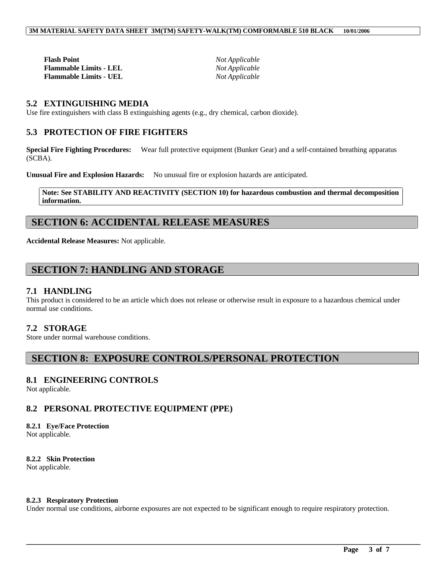**Flash Point** *Not Applicable* **Flammable Limits - LEL** *Not Applicable* **Flammable Limits - UEL** *Not Applicable*

### **5.2 EXTINGUISHING MEDIA**

Use fire extinguishers with class B extinguishing agents (e.g., dry chemical, carbon dioxide).

### **5.3 PROTECTION OF FIRE FIGHTERS**

**Special Fire Fighting Procedures:** Wear full protective equipment (Bunker Gear) and a self-contained breathing apparatus (SCBA).

**Unusual Fire and Explosion Hazards:** No unusual fire or explosion hazards are anticipated.

**Note: See STABILITY AND REACTIVITY (SECTION 10) for hazardous combustion and thermal decomposition information.**

## **SECTION 6: ACCIDENTAL RELEASE MEASURES**

**Accidental Release Measures:** Not applicable.

## **SECTION 7: HANDLING AND STORAGE**

#### **7.1 HANDLING**

This product is considered to be an article which does not release or otherwise result in exposure to a hazardous chemical under normal use conditions.

### **7.2 STORAGE**

Store under normal warehouse conditions.

## **SECTION 8: EXPOSURE CONTROLS/PERSONAL PROTECTION**

### **8.1 ENGINEERING CONTROLS**

Not applicable.

### **8.2 PERSONAL PROTECTIVE EQUIPMENT (PPE)**

## **8.2.1 Eye/Face Protection**

Not applicable.

#### **8.2.2 Skin Protection** Not applicable.

#### **8.2.3 Respiratory Protection**

Under normal use conditions, airborne exposures are not expected to be significant enough to require respiratory protection.

\_\_\_\_\_\_\_\_\_\_\_\_\_\_\_\_\_\_\_\_\_\_\_\_\_\_\_\_\_\_\_\_\_\_\_\_\_\_\_\_\_\_\_\_\_\_\_\_\_\_\_\_\_\_\_\_\_\_\_\_\_\_\_\_\_\_\_\_\_\_\_\_\_\_\_\_\_\_\_\_\_\_\_\_\_\_\_\_\_\_\_\_\_\_\_\_\_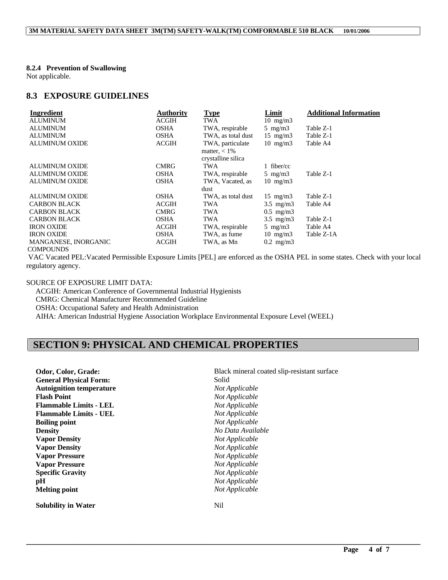#### **8.2.4 Prevention of Swallowing**

Not applicable.

#### **8.3 EXPOSURE GUIDELINES**

| Ingredient                          | <b>Authority</b> | <b>Type</b>                                               | Limit             | <b>Additional Information</b> |
|-------------------------------------|------------------|-----------------------------------------------------------|-------------------|-------------------------------|
| <b>ALUMINUM</b>                     | <b>ACGIH</b>     | TWA                                                       | $10 \text{ mg/m}$ |                               |
| <b>ALUMINUM</b>                     | <b>OSHA</b>      | TWA, respirable                                           | $5 \text{ mg/m}$  | Table Z-1                     |
| <b>ALUMINUM</b>                     | <b>OSHA</b>      | TWA, as total dust                                        | $15 \text{ mg/m}$ | Table Z-1                     |
| <b>ALUMINUM OXIDE</b>               | <b>ACGIH</b>     | TWA, particulate<br>matter, $< 1\%$<br>crystalline silica | $10 \text{ mg/m}$ | Table A4                      |
| <b>ALUMINUM OXIDE</b>               | <b>CMRG</b>      | TWA                                                       | fiber/cc          |                               |
| <b>ALUMINUM OXIDE</b>               | <b>OSHA</b>      | TWA, respirable                                           | 5 mg/m $3$        | Table Z-1                     |
| <b>ALUMINUM OXIDE</b>               | <b>OSHA</b>      | TWA, Vacated, as                                          | $10 \text{ mg/m}$ |                               |
|                                     |                  | dust                                                      |                   |                               |
| <b>ALUMINUM OXIDE</b>               | <b>OSHA</b>      | TWA, as total dust                                        | $15 \text{ mg/m}$ | Table Z-1                     |
| <b>CARBON BLACK</b>                 | ACGIH            | TWA                                                       | $3.5$ mg/m $3$    | Table A4                      |
| <b>CARBON BLACK</b>                 | <b>CMRG</b>      | TWA                                                       | $0.5$ mg/m $3$    |                               |
| <b>CARBON BLACK</b>                 | <b>OSHA</b>      | TWA                                                       | $3.5$ mg/m $3$    | Table Z-1                     |
| <b>IRON OXIDE</b>                   | ACGIH            | TWA, respirable                                           | 5 mg/m $3$        | Table A4                      |
| <b>IRON OXIDE</b>                   | <b>OSHA</b>      | TWA, as fume                                              | $10 \text{ mg/m}$ | Table Z-1A                    |
| MANGANESE, INORGANIC<br>COMDOLINING | ACGIH            | TWA, as Mn                                                | $0.2$ mg/m $3$    |                               |

#### COMPOUNDS

 VAC Vacated PEL:Vacated Permissible Exposure Limits [PEL] are enforced as the OSHA PEL in some states. Check with your local regulatory agency.

\_\_\_\_\_\_\_\_\_\_\_\_\_\_\_\_\_\_\_\_\_\_\_\_\_\_\_\_\_\_\_\_\_\_\_\_\_\_\_\_\_\_\_\_\_\_\_\_\_\_\_\_\_\_\_\_\_\_\_\_\_\_\_\_\_\_\_\_\_\_\_\_\_\_\_\_\_\_\_\_\_\_\_\_\_\_\_\_\_\_\_\_\_\_\_\_\_

### SOURCE OF EXPOSURE LIMIT DATA:

 ACGIH: American Conference of Governmental Industrial Hygienists CMRG: Chemical Manufacturer Recommended Guideline OSHA: Occupational Safety and Health Administration AIHA: American Industrial Hygiene Association Workplace Environmental Exposure Level (WEEL)

# **SECTION 9: PHYSICAL AND CHEMICAL PROPERTIES**

| Odor, Color, Grade:             | Black mineral coated slip-resistant surface |
|---------------------------------|---------------------------------------------|
| <b>General Physical Form:</b>   | Solid                                       |
| <b>Autoignition temperature</b> | Not Applicable                              |
| <b>Flash Point</b>              | Not Applicable                              |
| <b>Flammable Limits - LEL</b>   | Not Applicable                              |
| <b>Flammable Limits - UEL</b>   | Not Applicable                              |
| <b>Boiling point</b>            | Not Applicable                              |
| <b>Density</b>                  | No Data Available                           |
| <b>Vapor Density</b>            | Not Applicable                              |
| <b>Vapor Density</b>            | Not Applicable                              |
| <b>Vapor Pressure</b>           | Not Applicable                              |
| <b>Vapor Pressure</b>           | Not Applicable                              |
| <b>Specific Gravity</b>         | Not Applicable                              |
| pН                              | Not Applicable                              |
| <b>Melting point</b>            | Not Applicable                              |
| <b>Solubility in Water</b>      | Nil                                         |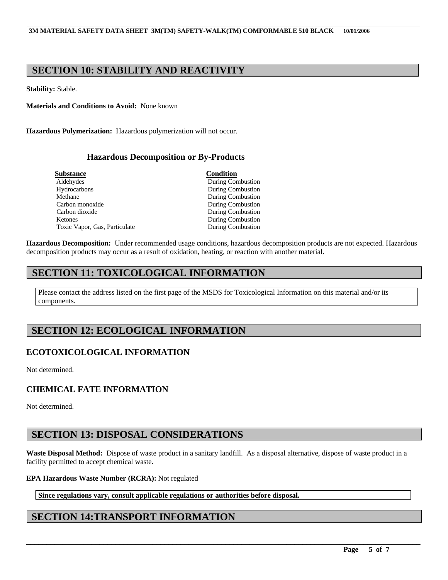# **SECTION 10: STABILITY AND REACTIVITY**

**Stability:** Stable.

**Materials and Conditions to Avoid:** None known

**Hazardous Polymerization:** Hazardous polymerization will not occur.

### **Hazardous Decomposition or By-Products**

| <b>Substance</b>              | <b>Condition</b>         |  |
|-------------------------------|--------------------------|--|
| Aldehydes                     | During Combustion        |  |
| Hydrocarbons                  | During Combustion        |  |
| Methane                       | During Combustion        |  |
| Carbon monoxide               | During Combustion        |  |
| Carbon dioxide                | <b>During Combustion</b> |  |
| <b>Ketones</b>                | During Combustion        |  |
| Toxic Vapor, Gas, Particulate | During Combustion        |  |

**Hazardous Decomposition:** Under recommended usage conditions, hazardous decomposition products are not expected. Hazardous decomposition products may occur as a result of oxidation, heating, or reaction with another material.

# **SECTION 11: TOXICOLOGICAL INFORMATION**

Please contact the address listed on the first page of the MSDS for Toxicological Information on this material and/or its components.

# **SECTION 12: ECOLOGICAL INFORMATION**

## **ECOTOXICOLOGICAL INFORMATION**

Not determined.

## **CHEMICAL FATE INFORMATION**

Not determined.

# **SECTION 13: DISPOSAL CONSIDERATIONS**

**Waste Disposal Method:** Dispose of waste product in a sanitary landfill. As a disposal alternative, dispose of waste product in a facility permitted to accept chemical waste.

\_\_\_\_\_\_\_\_\_\_\_\_\_\_\_\_\_\_\_\_\_\_\_\_\_\_\_\_\_\_\_\_\_\_\_\_\_\_\_\_\_\_\_\_\_\_\_\_\_\_\_\_\_\_\_\_\_\_\_\_\_\_\_\_\_\_\_\_\_\_\_\_\_\_\_\_\_\_\_\_\_\_\_\_\_\_\_\_\_\_\_\_\_\_\_\_\_

#### **EPA Hazardous Waste Number (RCRA):** Not regulated

**Since regulations vary, consult applicable regulations or authorities before disposal.**

# **SECTION 14:TRANSPORT INFORMATION**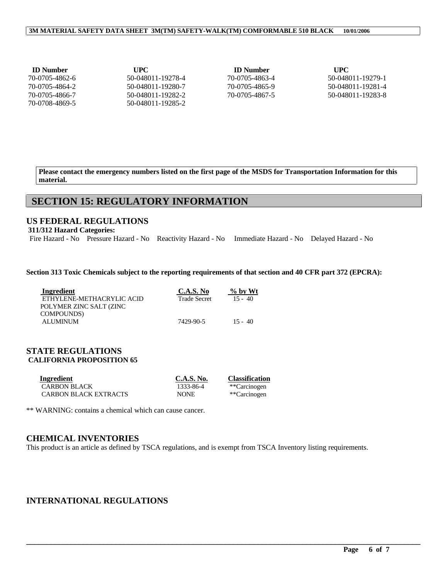#### **3M MATERIAL SAFETY DATA SHEET 3M(TM) SAFETY-WALK(TM) COMFORMABLE 510 BLACK 10/01/2006**

| <b>ID</b> Number | UPC               | <b>ID</b> Number | <b>UPC</b>        |
|------------------|-------------------|------------------|-------------------|
| 70-0705-4862-6   | 50-048011-19278-4 | 70-0705-4863-4   | 50-048011-19279-1 |
| 70-0705-4864-2   | 50-048011-19280-7 | 70-0705-4865-9   | 50-048011-19281-4 |
| 70-0705-4866-7   | 50-048011-19282-2 | 70-0705-4867-5   | 50-048011-19283-8 |
| 70-0708-4869-5   | 50-048011-19285-2 |                  |                   |

**Please contact the emergency numbers listed on the first page of the MSDS for Transportation Information for this material.**

# **SECTION 15: REGULATORY INFORMATION**

### **US FEDERAL REGULATIONS**

**311/312 Hazard Categories:**

Fire Hazard - No Pressure Hazard - No Reactivity Hazard - No Immediate Hazard - No Delayed Hazard - No

#### **Section 313 Toxic Chemicals subject to the reporting requirements of that section and 40 CFR part 372 (EPCRA):**

| Ingredient                | C.A.S. No           | $\%$ by Wt |
|---------------------------|---------------------|------------|
| ETHYLENE-METHACRYLIC ACID | <b>Trade Secret</b> | $15 - 40$  |
| POLYMER ZINC SALT (ZINC   |                     |            |
| COMPOUNDS)                |                     |            |
| <b>ALUMINUM</b>           | 7429-90-5           | $15 - 40$  |

### **STATE REGULATIONS CALIFORNIA PROPOSITION 65**

| Ingredient                   | C.A.S. No.  | <b>Classification</b> |
|------------------------------|-------------|-----------------------|
| <b>CARBON BLACK</b>          | 1333-86-4   | **Carcinogen          |
| <b>CARBON BLACK EXTRACTS</b> | <b>NONE</b> | **Carcinogen          |

\*\* WARNING: contains a chemical which can cause cancer.

### **CHEMICAL INVENTORIES**

This product is an article as defined by TSCA regulations, and is exempt from TSCA Inventory listing requirements.

\_\_\_\_\_\_\_\_\_\_\_\_\_\_\_\_\_\_\_\_\_\_\_\_\_\_\_\_\_\_\_\_\_\_\_\_\_\_\_\_\_\_\_\_\_\_\_\_\_\_\_\_\_\_\_\_\_\_\_\_\_\_\_\_\_\_\_\_\_\_\_\_\_\_\_\_\_\_\_\_\_\_\_\_\_\_\_\_\_\_\_\_\_\_\_\_\_

## **INTERNATIONAL REGULATIONS**